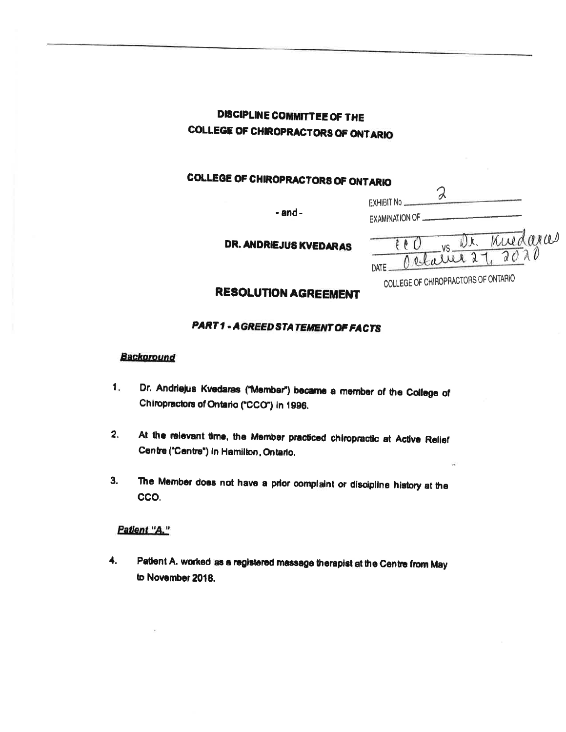# **DISCIPLINE COMMITTEE OF THE COLLEGE OF CHIROPRACTORS OF ONTARIO**

# **COLLEGE OF CHIROPRACTORS OF ONTARIO**

 $-$ and $-$ 

**DR. ANDRIEJUS KVEDARAS** 

| EXAMINATION OF. |         |  |
|-----------------|---------|--|
|                 | Kuedara |  |
|                 |         |  |

COLLEGE OF CHIROPRACTORS OF ONTARIO

 $\mathcal{R}$ 

EXHIBIT No ...

# **RESOLUTION AGREEMENT**

## **PART1 - AGREED STATEMENT OF FACTS**

#### **Background**

- Dr. Andriejus Kvedaras ("Member") became a member of the College of  $1.$ Chiropractors of Ontario ("CCO") in 1996.
- $2.$ At the relevant time, the Member practiced chiropractic at Active Relief Centre ("Centre") in Hamilton, Ontario.
- The Member does not have a prior complaint or discipline history at the  $3.$ CCO.

#### Patient "A."

4. Patient A. worked as a registered massage therapist at the Centre from May to November 2018.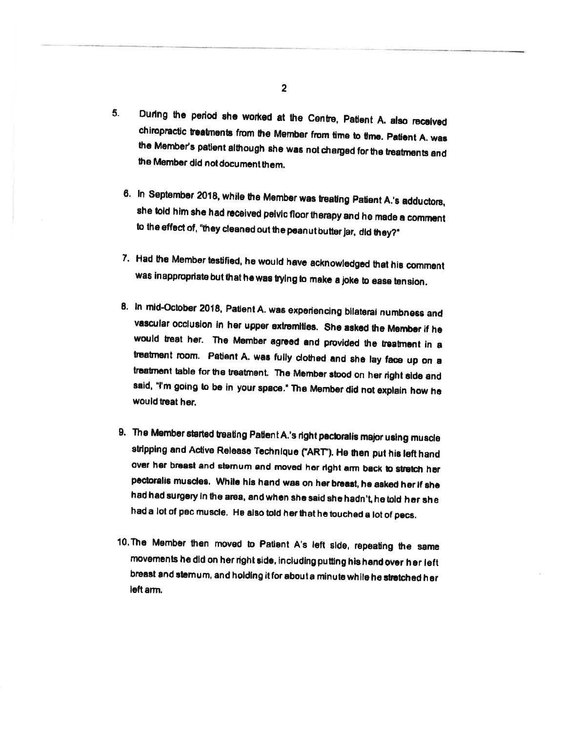- $5.$ During the period she worked at the Centre, Patient A. also received chiropractic treatments from the Member from time to time. Patient A. was the Member's patient although she was not charged for the treatments and the Member did not document them.
	- 6. In September 2018, while the Member was treating Patient A.'s adductors, she told him she had received pelvic floor therapy and he made a comment to the effect of, "they cleaned out the peanut butter jar, did they?"
	- 7. Had the Member testified, he would have acknowledged that his comment was inappropriate but that he was trying to make a joke to ease tension.
	- 8. In mid-October 2018, Patient A. was experiencing bilateral numbness and vascular occlusion in her upper extremities. She asked the Member if he would treat her. The Member agreed and provided the treatment in a treatment room. Patient A. was fully clothed and she lay face up on a treatment table for the treatment. The Member stood on her right side and said, "I'm going to be in your space." The Member did not explain how he would treat her.
	- 9. The Member started treating Patient A.'s right pectoralis major using muscle stripping and Active Release Technique ("ART"). He then put his left hand over her breast and sternum and moved her right arm back to stretch her pectoralis muscles. While his hand was on her breast, he asked her if she had had surgery in the area, and when she said she hadn't, he told her she had a lot of pec muscle. He also told her that he touched a lot of pecs.
- 10. The Member then moved to Patient A's left side, repeating the same movements he did on her right side, including putting his hand over her left breast and stemum, and holding it for about a minute while he stretched her left arm.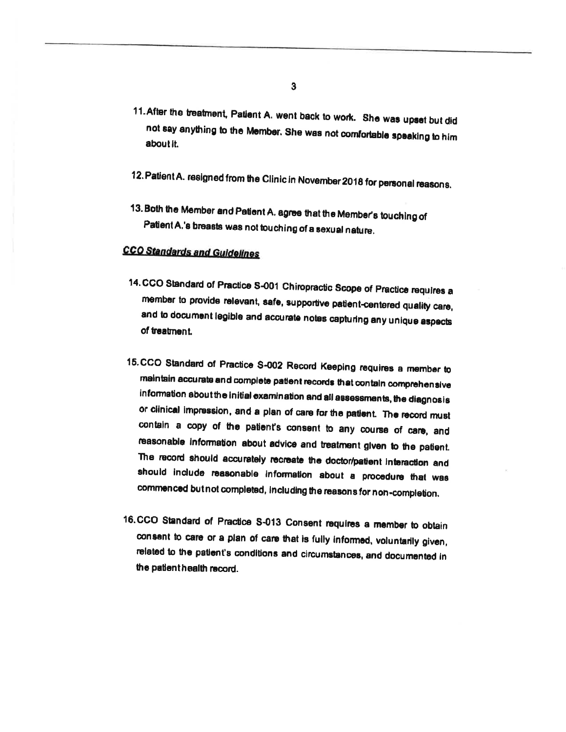- 11. After the treatment, Patient A. went back to work. She was upset but did not say anything to the Member. She was not comfortable speaking to him about it.
- 12. Patient A. resigned from the Clinic in November 2018 for personal reasons.
- 13. Both the Member and Patient A. agree that the Member's touching of Patient A.'s breasts was not touching of a sexual nature.

## **CCO Standards and Guidelines**

- 14. CCO Standard of Practice S-001 Chiropractic Scope of Practice requires a member to provide relevant, safe, supportive patient-centered quality care, and to document legible and accurate notes capturing any unique aspects of treatment.
- 15.CCO Standard of Practice S-002 Record Keeping requires a member to maintain accurate and complete patient records that contain comprehensive information about the initial examination and all assessments, the diagnosis or clinical impression, and a plan of care for the patient. The record must contain a copy of the patient's consent to any course of care, and reasonable information about advice and treatment given to the patient. The record should accurately recreate the doctor/patient interaction and should include reasonable information about a procedure that was commenced butnot completed, including the reasons for non-completion.
- 16.CCO Standard of Practice S-013 Consent requires a member to obtain consent to care or a plan of care that is fully informed, voluntarily given, related to the patient's conditions and circumstances, and documented in the patient health record.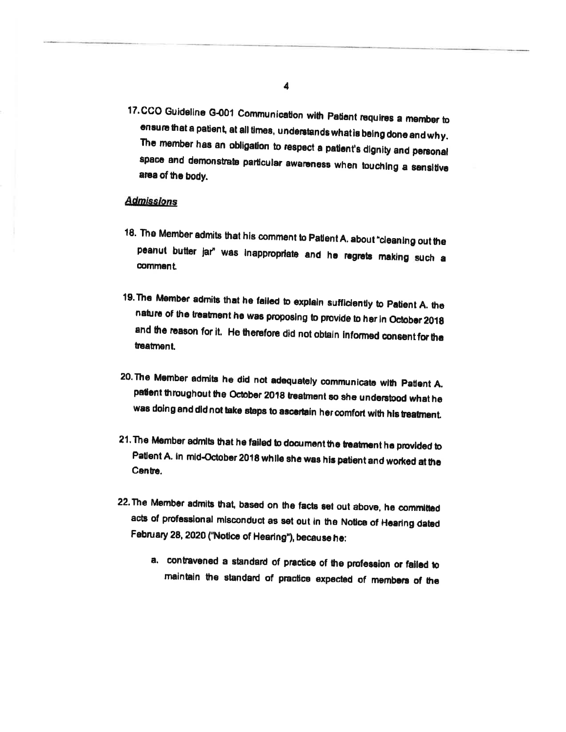17.CCO Guideline G-001 Communication with Patient requires a member to ensure that a patient, at all times, understands what is being done and why. The member has an obligation to respect a patient's dignity and personal space and demonstrate particular awareness when touching a sensitive area of the body.

## **Admissions**

- 18. The Member admits that his comment to Patlent A. about "cleaning out the peanut butter jar" was inappropriate and he regrets making such a comment.
- 19. The Member admits that he failed to explain sufficiently to Patient A. the nature of the treatment he was proposing to provide to her in October 2018 and the reason for it. He therefore did not obtain informed consent for the treatment.
- 20. The Member admits he did not adequately communicate with Patlent A. patient throughout the October 2018 treatment so she understood what he was doing and did not take steps to ascertain her comfort with his treatment.
- 21. The Member admits that he failed to document the treatment he provided to Patient A. in mid-October 2018 while she was his patient and worked at the Centre.
- 22. The Member admits that, based on the facts set out above, he committed acts of professional misconduct as set out in the Notice of Hearing dated February 28, 2020 ("Notice of Hearing"), because he:
	- a. contravened a standard of practice of the profession or failed to maintain the standard of practice expected of members of the

 $\overline{\mathbf{4}}$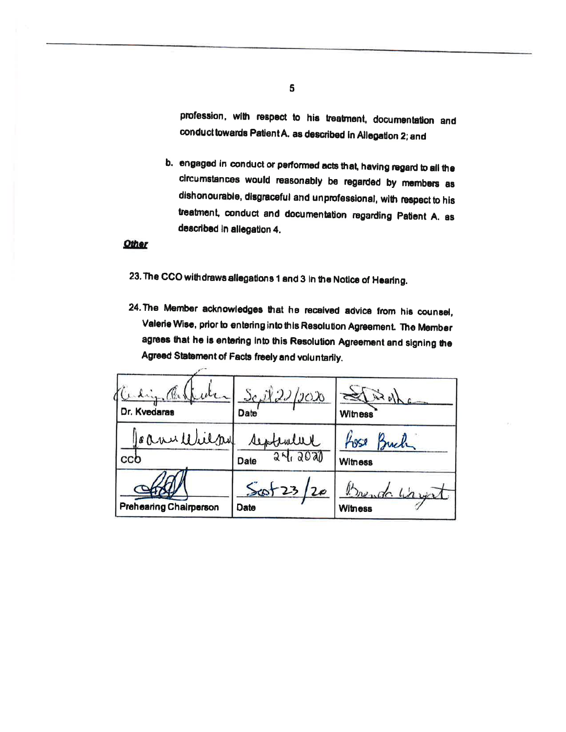profession, with respect to his treatment, documentation and conduct towards Patient A. as described in Allegation 2; and

b. engaged in conduct or performed acts that, having regard to all the circumstances would reasonably be regarded by members as dishonourable, disgraceful and unprofessional, with respect to his treatment, conduct and documentation regarding Patient A. as described in allegation 4.

#### **Other**

23. The CCO withdraws allegations 1 and 3 in the Notice of Hearing.

 $\sim$ 

24. The Member acknowledges that he received advice from his counsel, Valerie Wise, prior to entering into this Resolution Agreement. The Member agrees that he is entering into this Resolution Agreement and signing the Agreed Statement of Facts freely and voluntarily.

| Dr. Kvedaras                  | $S_{c} \hat{X}$ 22/2020<br><b>Date</b> | 1451<br><b>Witness</b>          |
|-------------------------------|----------------------------------------|---------------------------------|
| Game Wilpy<br>ccb             | September<br>24,2020<br>Date           | Buch<br>Lose<br><b>Witness</b>  |
| <b>Prehearing Chairperson</b> | $S$ cot 23/20<br>Date                  | Brenda Waynet<br><b>Witness</b> |

 $\mathbf{5}$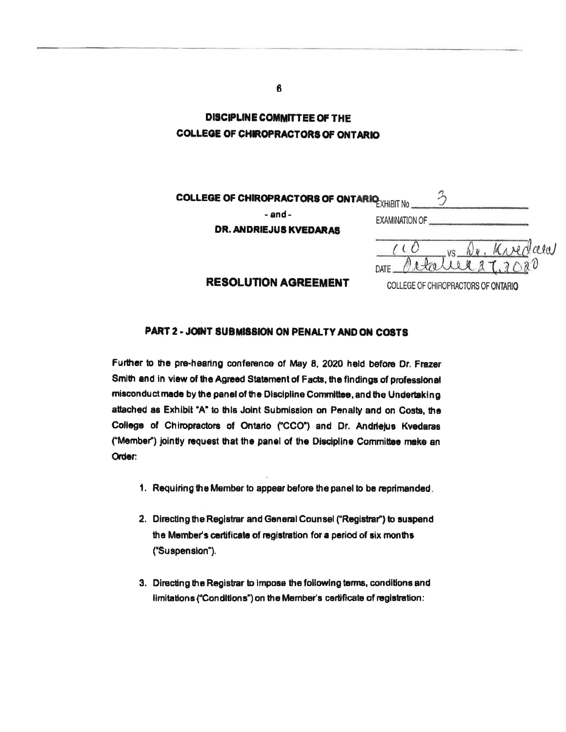**DISCIPLINE COMMITTEE OF THE COLLEGE OF CHIROPRACTORS OF ONTARIO** 

| <b>COLLEGE OF CHIROPRACTORS OF ONTARIO EXHIBIT NO</b> |                       |  |  |  |
|-------------------------------------------------------|-----------------------|--|--|--|
| - and -<br>DR. ANDRIEJUS KVEDARAS                     | <b>EXAMINATION OF</b> |  |  |  |
|                                                       | a Ia I                |  |  |  |
|                                                       | DATE                  |  |  |  |

#### **RESOLUTION AGREEMENT**

COLLEGE OF CHIROPRACTORS OF ONTARIO

#### PART 2 - JOINT SUBMISSION ON PENALTY AND ON COSTS

Further to the pre-hearing conference of May 8, 2020 held before Dr. Frazer Smith and in view of the Agreed Statement of Facts, the findings of professional misconduct made by the panel of the Discipline Committee, and the Undertaking attached as Exhibit "A" to this Joint Submission on Penalty and on Costs, the College of Chiropractors of Ontario ("CCO") and Dr. Andriejus Kvedaras ("Member") jointly request that the panel of the Discipline Committee make an Order:

- 1. Requiring the Member to appear before the panel to be reprimanded.
- 2. Directing the Registrar and General Counsel ("Registrar") to suspend the Member's certificate of registration for a period of six months ("Suspension").
- 3. Directing the Registrar to impose the following terms, conditions and limitations ("Conditions") on the Member's certificate of registration:

6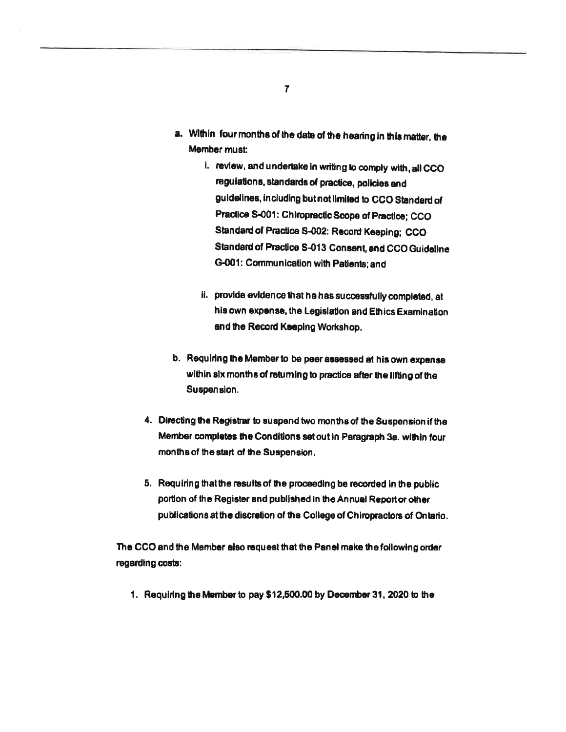- a. Within four months of the date of the hearing in this matter, the Member must:
	- i. review, and undertake in writing to comply with, all CCO regulations, standards of practice, policies and guidelines, including but not limited to CCO Standard of Practice S-001: Chiropractic Scope of Practice; CCO Standard of Practice S-002: Record Keeping; CCO Standard of Practice S-013 Consent, and CCO Guideline G-001: Communication with Patients; and
	- ii. provide evidence that he has successfully completed, at his own expense, the Legislation and Ethics Examination and the Record Keeping Workshop.
- b. Requiring the Member to be peer assessed at his own expense within six months of returning to practice after the lifting of the Suspension.
- 4. Directing the Registrar to suspend two months of the Suspension if the Member completes the Conditions set out in Paragraph 3a. within four months of the start of the Suspension.
- 5. Requiring that the results of the proceeding be recorded in the public portion of the Register and published in the Annual Report or other publications at the discretion of the College of Chiropractors of Ontario.

The CCO and the Member also request that the Panel make the following order regarding costs:

1. Requiring the Member to pay \$12,500.00 by December 31, 2020 to the

 $\overline{7}$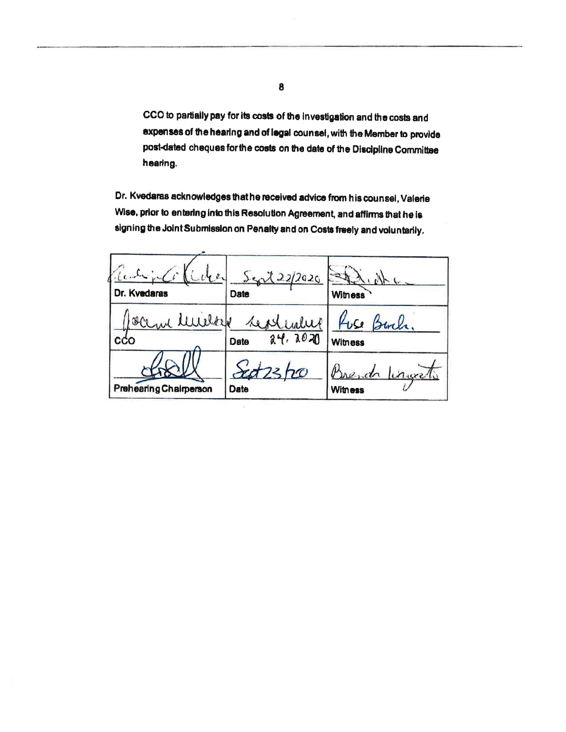CCO to partially pay for its costs of the investigation and the costs and expenses of the hearing and of legal counsel, with the Member to provide post-dated cheques for the costs on the date of the Discipline Committee hearing.

Dr. Kvedaras acknowledges that he received advice from his counsel, Valerie Wise, prior to entering into this Resolution Agreement, and affirms that he is signing the Joint Submission on Penalty and on Costs freely and voluntarily.

| idea<br>Dr. Kvedaras          | $5 - 22/2020$<br>Date       | $\sim 10^{-1}$<br><b>Witness</b>    |
|-------------------------------|-----------------------------|-------------------------------------|
| Luilar<br>Ollar<br>cco        | repliate<br>24.2020<br>Date | Fuse Burch,<br><b>Witness</b>       |
| <b>Prehearing Chairperson</b> | ho<br>Date                  | Brenda<br>lingvet<br><b>Witness</b> |

8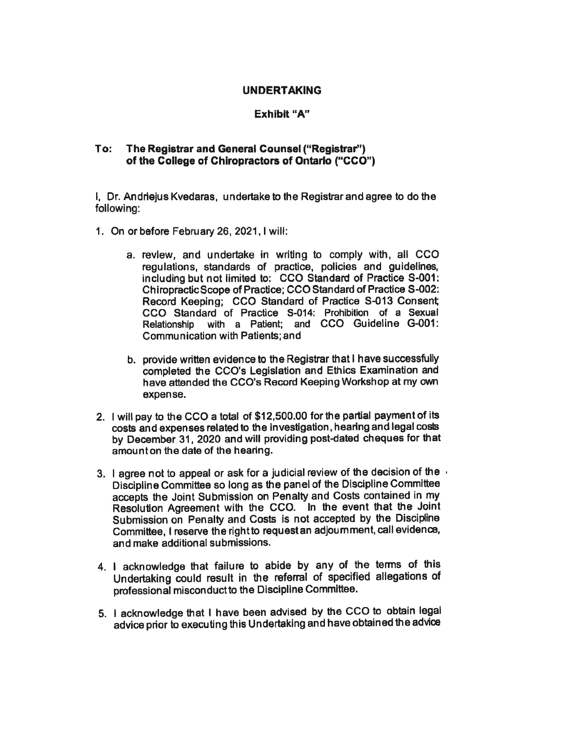#### UNDERTAKING

## Exhibit "A"

#### To: The Registrar and General Counsel ("Registraf') of the College of Chiropractors of Ontario ("CCO")

I, Dr. Andriejus Kvedaras, undertake to the Registrar and agree to do the following:

- 1. On or before February 26, 2021, I will:
	- a. review, and undertake in writing to comply with, all CCO regulations, standards of practice, policies and guidelines, including but not limited to: CCO Standard of Practice 3-001: Chiropractic Scope of Practice; CCO Standard of Practice S-002: Record Keeping; CCO Standard of Practice S-013 Consent; CCO Standard of Practice 5-014: Prohibition of a Sexual Relationship with a Patient; and CCO Guideline G-001: Communication with Patients; and
	- b. provide written evidence to the Registrar that I have successfully completed the CCO's Legislation and Ethics Examination and have attended the CCO's Record Keeping Workshop at my own expense.
- 2. I will pay to the CCO a total of \$12,500.00 for the partial payment of its costs and expenses related to the investigation, hearing and legal costs by December 31, 2020 and will providing post-dated cheques for that amounton the date of the hearing.
- 3. I agree not to appeal or ask for a judicial review of the decision of the  $\cdot$ Discipline Committee so long as the panel of ffre Discipline Committee accepts the Joint Submission on Penalty and Costs contained in my Resolution Agreement with the CCO. In the event that the Joint Submission on Penalty and Costs is not accepted by the Discidine Committee, I reserve the right to request an adjoumment, call evidence, and make additional submissions.
- 4. I acknowledge that failure to abide by any of the terms of his Undertaking could result in the referral of specified allegations of professional misconduct to the Discipline Committee.
- 5. I acknowledge that I have been advised by the CCO to obtain legal advice prior to executing this Undertaking and have obtained the advice